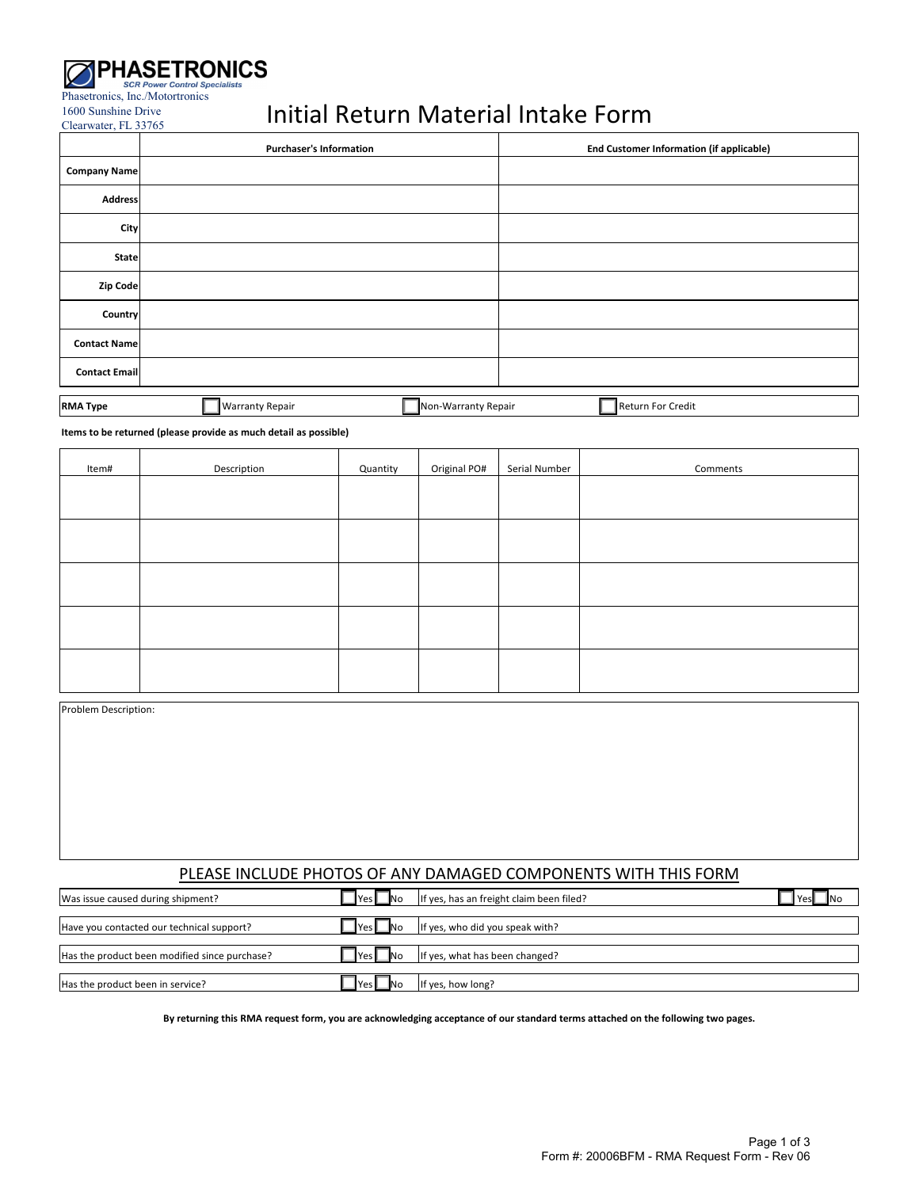

1600 Sunshine Drive Clearwater, FL 33765

# Initial Return Material Intake Form

|                      | <b>Purchaser's Information</b>                | <b>End Customer Information (if applicable)</b> |
|----------------------|-----------------------------------------------|-------------------------------------------------|
| <b>Company Name</b>  |                                               |                                                 |
| <b>Address</b>       |                                               |                                                 |
| City                 |                                               |                                                 |
| <b>State</b>         |                                               |                                                 |
| Zip Code             |                                               |                                                 |
| Country              |                                               |                                                 |
| <b>Contact Name</b>  |                                               |                                                 |
| <b>Contact Email</b> |                                               |                                                 |
| <b>RMA Type</b>      | <b>Warranty Repair</b><br>Non-Warranty Repair | Return For Credit                               |

| <b>RMA Type</b> | <b>Warranty Repair</b> | <br><b>INon-Warranty Repair</b> |  | $\cdots$<br><b>I</b> Return<br>Credit<br>. For ' |
|-----------------|------------------------|---------------------------------|--|--------------------------------------------------|
|-----------------|------------------------|---------------------------------|--|--------------------------------------------------|

**Items to be returned (please provide as much detail as possible)**

| Item# | Description | Quantity | Original PO# | Serial Number | Comments |
|-------|-------------|----------|--------------|---------------|----------|
|       |             |          |              |               |          |
|       |             |          |              |               |          |
|       |             |          |              |               |          |
|       |             |          |              |               |          |
|       |             |          |              |               |          |
|       |             |          |              |               |          |
|       |             |          |              |               |          |
|       |             |          |              |               |          |
|       |             |          |              |               |          |
|       |             |          |              |               |          |

Problem Description:

# PLEASE INCLUDE PHOTOS OF ANY DAMAGED COMPONENTS WITH THIS FORM

| Was issue caused during shipment?             | <b>IYes</b><br><b>No</b> | If yes, has an freight claim been filed? | Yesl<br><b>IN</b> o |
|-----------------------------------------------|--------------------------|------------------------------------------|---------------------|
| Have you contacted our technical support?     | <b>No</b>                | If yes, who did you speak with?          |                     |
|                                               |                          |                                          |                     |
| Has the product been modified since purchase? | <b>T</b> Yes             | If yes, what has been changed?           |                     |
| Has the product been in service?              | IYes.                    | If yes, how long?                        |                     |

By returning this RMA request form, you are acknowledging acceptance of our standard terms attached on the following two pages.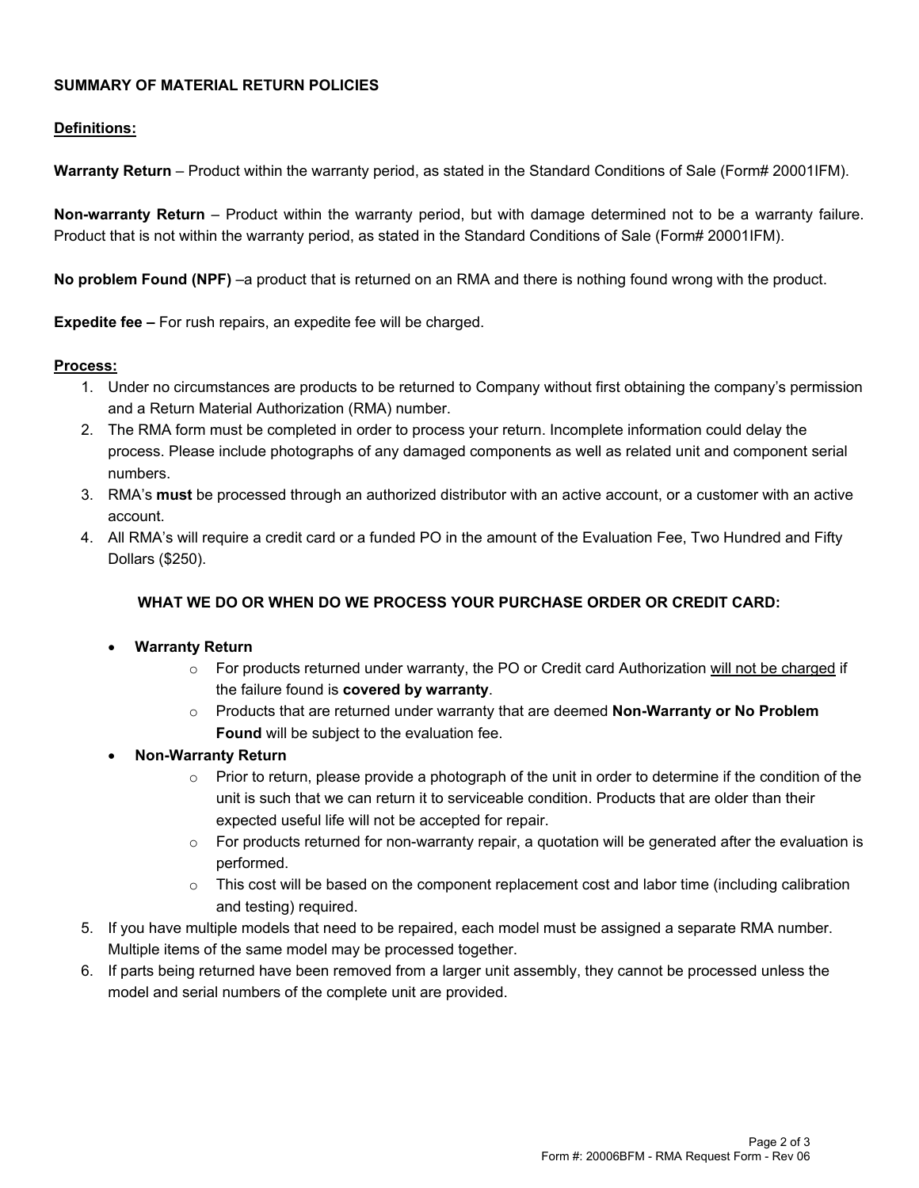## **SUMMARY OF MATERIAL RETURN POLICIES**

# **Definitions:**

**Warranty Return** – Product within the warranty period, as stated in the Standard Conditions of Sale (Form# 20001IFM).

**Non-warranty Return** – Product within the warranty period, but with damage determined not to be a warranty failure. Product that is not within the warranty period, as stated in the Standard Conditions of Sale (Form# 20001IFM).

**No problem Found (NPF)** –a product that is returned on an RMA and there is nothing found wrong with the product.

**Expedite fee –** For rush repairs, an expedite fee will be charged.

#### **Process:**

- 1. Under no circumstances are products to be returned to Company without first obtaining the company's permission and a Return Material Authorization (RMA) number.
- 2. The RMA form must be completed in order to process your return. Incomplete information could delay the process. Please include photographs of any damaged components as well as related unit and component serial numbers.
- 3. RMA's **must** be processed through an authorized distributor with an active account, or a customer with an active account.
- 4. All RMA's will require a credit card or a funded PO in the amount of the Evaluation Fee, Two Hundred and Fifty Dollars (\$250).

# **WHAT WE DO OR WHEN DO WE PROCESS YOUR PURCHASE ORDER OR CREDIT CARD:**

### **Warranty Return**

- o For products returned under warranty, the PO or Credit card Authorization will not be charged if the failure found is **covered by warranty**.
- o Products that are returned under warranty that are deemed **Non-Warranty or No Problem Found** will be subject to the evaluation fee.
- **Non-Warranty Return**
	- $\circ$  Prior to return, please provide a photograph of the unit in order to determine if the condition of the unit is such that we can return it to serviceable condition. Products that are older than their expected useful life will not be accepted for repair.
	- $\circ$  For products returned for non-warranty repair, a quotation will be generated after the evaluation is performed.
	- $\circ$  This cost will be based on the component replacement cost and labor time (including calibration and testing) required.
- 5. If you have multiple models that need to be repaired, each model must be assigned a separate RMA number. Multiple items of the same model may be processed together.
- 6. If parts being returned have been removed from a larger unit assembly, they cannot be processed unless the model and serial numbers of the complete unit are provided.